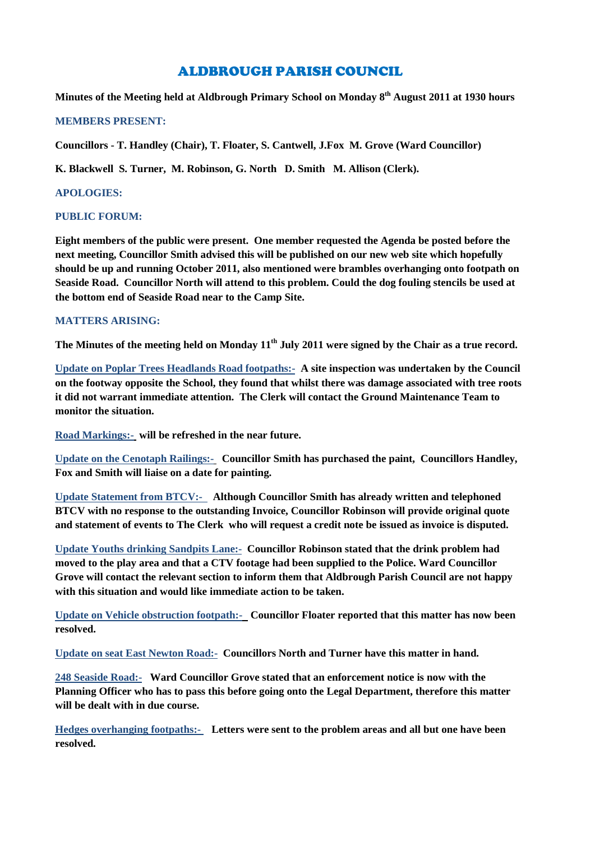# ALDBROUGH PARISH COUNCIL

**Minutes of the Meeting held at Aldbrough Primary School on Monday 8 th August 2011 at 1930 hours**

#### **MEMBERS PRESENT:**

**Councillors - T. Handley (Chair), T. Floater, S. Cantwell, J.Fox M. Grove (Ward Councillor)**

**K. Blackwell S. Turner, M. Robinson, G. North D. Smith M. Allison (Clerk).**

### **APOLOGIES:**

#### **PUBLIC FORUM:**

**Eight members of the public were present. One member requested the Agenda be posted before the next meeting, Councillor Smith advised this will be published on our new web site which hopefully should be up and running October 2011, also mentioned were brambles overhanging onto footpath on Seaside Road. Councillor North will attend to this problem. Could the dog fouling stencils be used at the bottom end of Seaside Road near to the Camp Site.**

#### **MATTERS ARISING:**

**The Minutes of the meeting held on Monday 11th July 2011 were signed by the Chair as a true record.**

**Update on Poplar Trees Headlands Road footpaths:- A site inspection was undertaken by the Council on the footway opposite the School, they found that whilst there was damage associated with tree roots it did not warrant immediate attention. The Clerk will contact the Ground Maintenance Team to monitor the situation.**

**Road Markings:- will be refreshed in the near future.**

**Update on the Cenotaph Railings:- Councillor Smith has purchased the paint, Councillors Handley, Fox and Smith will liaise on a date for painting.**

**Update Statement from BTCV:- Although Councillor Smith has already written and telephoned BTCV with no response to the outstanding Invoice, Councillor Robinson will provide original quote and statement of events to The Clerk who will request a credit note be issued as invoice is disputed.**

**Update Youths drinking Sandpits Lane:- Councillor Robinson stated that the drink problem had moved to the play area and that a CTV footage had been supplied to the Police. Ward Councillor Grove will contact the relevant section to inform them that Aldbrough Parish Council are not happy with this situation and would like immediate action to be taken.**

**Update on Vehicle obstruction footpath:- Councillor Floater reported that this matter has now been resolved.**

**Update on seat East Newton Road:- Councillors North and Turner have this matter in hand.**

**248 Seaside Road:- Ward Councillor Grove stated that an enforcement notice is now with the Planning Officer who has to pass this before going onto the Legal Department, therefore this matter will be dealt with in due course.**

**Hedges overhanging footpaths:- Letters were sent to the problem areas and all but one have been resolved.**